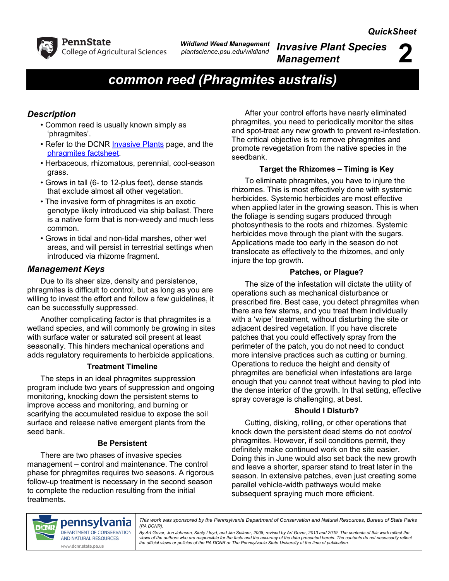

*Wildland Weed Management plantscience.psu.edu/wildland*

*Invasive Plant Species Management* **2**

# *common reed (Phragmites australis)*

## *Description*

- Common reed is usually known simply as 'phragmites'.
- Refer to the DCNR **Invasive Plants** page, and the [phragmites factsheet.](http://www.docs.dcnr.pa.gov/cs/groups/public/documents/document/dcnr_010286.pdf)
- Herbaceous, rhizomatous, perennial, cool-season grass.
- Grows in tall (6- to 12-plus feet), dense stands that exclude almost all other vegetation.
- The invasive form of phragmites is an exotic genotype likely introduced via ship ballast. There is a native form that is non-weedy and much less common.
- Grows in tidal and non-tidal marshes, other wet areas, and will persist in terrestrial settings when introduced via rhizome fragment.

## *Management Keys*

Due to its sheer size, density and persistence, phragmites is difficult to control, but as long as you are willing to invest the effort and follow a few guidelines, it can be successfully suppressed.

Another complicating factor is that phragmites is a wetland species, and will commonly be growing in sites with surface water or saturated soil present at least seasonally. This hinders mechanical operations and adds regulatory requirements to herbicide applications.

#### **Treatment Timeline**

The steps in an ideal phragmites suppression program include two years of suppression and ongoing monitoring, knocking down the persistent stems to improve access and monitoring, and burning or scarifying the accumulated residue to expose the soil surface and release native emergent plants from the seed bank.

#### **Be Persistent**

There are two phases of invasive species management – control and maintenance. The control phase for phragmites requires two seasons. A rigorous follow-up treatment is necessary in the second season to complete the reduction resulting from the initial treatments.

After your control efforts have nearly eliminated phragmites, you need to periodically monitor the sites and spot-treat any new growth to prevent re-infestation. The critical objective is to remove phragmites and promote revegetation from the native species in the seedbank.

## **Target the Rhizomes – Timing is Key**

To eliminate phragmites, you have to injure the rhizomes. This is most effectively done with systemic herbicides. Systemic herbicides are most effective when applied later in the growing season. This is when the foliage is sending sugars produced through photosynthesis to the roots and rhizomes. Systemic herbicides move through the plant with the sugars. Applications made too early in the season do not translocate as effectively to the rhizomes, and only injure the top growth.

## **Patches, or Plague?**

The size of the infestation will dictate the utility of operations such as mechanical disturbance or prescribed fire. Best case, you detect phragmites when there are few stems, and you treat them individually with a 'wipe' treatment, without disturbing the site or adjacent desired vegetation. If you have discrete patches that you could effectively spray from the perimeter of the patch, you do not need to conduct more intensive practices such as cutting or burning. Operations to reduce the height and density of phragmites are beneficial when infestations are large enough that you cannot treat without having to plod into the dense interior of the growth. In that setting, effective spray coverage is challenging, at best.

#### **Should I Disturb?**

Cutting, disking, rolling, or other operations that knock down the persistent dead stems do not *control* phragmites. However, if soil conditions permit, they definitely make continued work on the site easier. Doing this in June would also set back the new growth and leave a shorter, sparser stand to treat later in the season. In extensive patches, even just creating some parallel vehicle-width pathways would make subsequent spraying much more efficient.



pennsylvania *This work was sponsored by the Pennsylvania Department of Conservation and Natural Resources, Bureau of State Parks (PA DCNR).*

> *By Art Gover, Jon Johnson, Kirsty Lloyd, and Jim Sellmer, 2008; revised by Art Gover, 2013 and 2019. The contents of this work reflect the*  views of the authors who are responsible for the facts and the accuracy of the data presented herein. The contents do not necessarily reflect<br>the official views or policies of the PA DCNR or The Pennsylvania State Universi